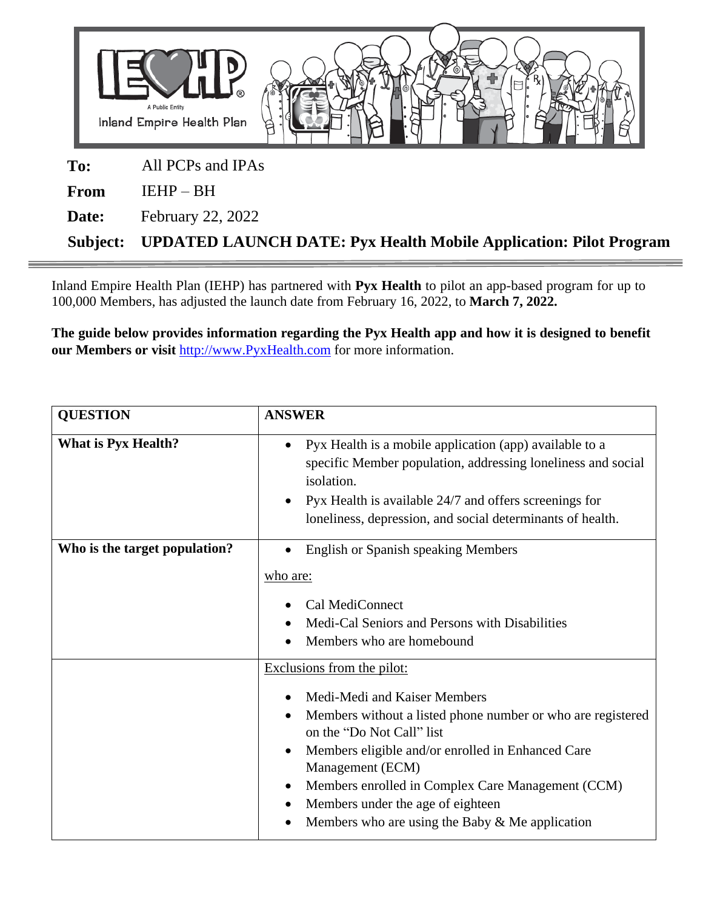

Inland Empire Health Plan (IEHP) has partnered with **Pyx Health** to pilot an app-based program for up to 100,000 Members, has adjusted the launch date from February 16, 2022, to **March 7, 2022.** 

**The guide below provides information regarding the Pyx Health app and how it is designed to benefit our Members or visit** [http://www.PyxHealth.com](http://www.pyxhealth.com/) for more information.

| <b>QUESTION</b>               | <b>ANSWER</b>                                                                                                                                                                                                                                                                                                                                                                        |
|-------------------------------|--------------------------------------------------------------------------------------------------------------------------------------------------------------------------------------------------------------------------------------------------------------------------------------------------------------------------------------------------------------------------------------|
| <b>What is Pyx Health?</b>    | Pyx Health is a mobile application (app) available to a<br>$\bullet$<br>specific Member population, addressing loneliness and social<br>isolation.<br>Pyx Health is available 24/7 and offers screenings for<br>loneliness, depression, and social determinants of health.                                                                                                           |
| Who is the target population? | <b>English or Spanish speaking Members</b><br>who are:<br>Cal MediConnect<br>Medi-Cal Seniors and Persons with Disabilities<br>Members who are homebound                                                                                                                                                                                                                             |
|                               | Exclusions from the pilot:<br>Medi-Medi and Kaiser Members<br>Members without a listed phone number or who are registered<br>on the "Do Not Call" list<br>Members eligible and/or enrolled in Enhanced Care<br>Management (ECM)<br>Members enrolled in Complex Care Management (CCM)<br>Members under the age of eighteen<br>Members who are using the Baby $\&$ Me application<br>٠ |